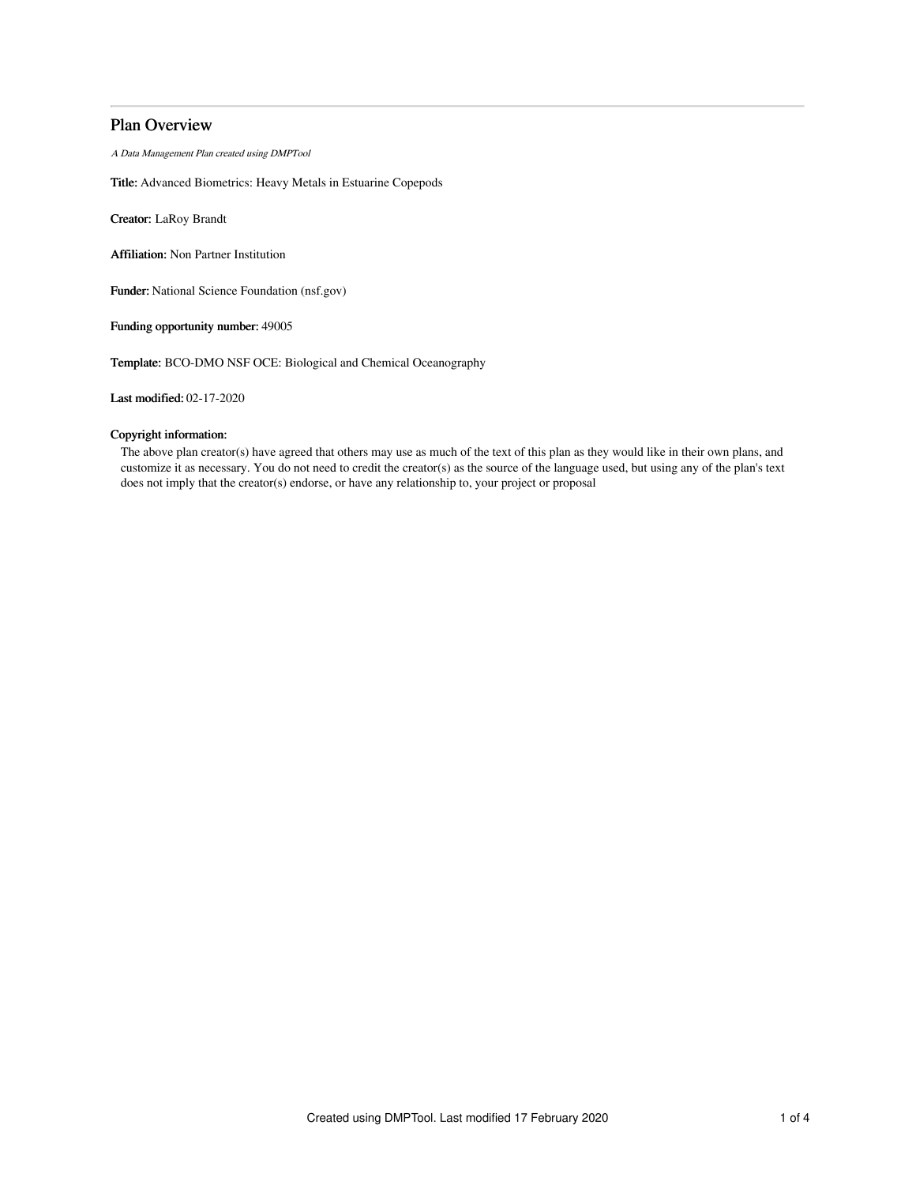# Plan Overview

A Data Management Plan created using DMPTool

Title: Advanced Biometrics: Heavy Metals in Estuarine Copepods

Creator: LaRoy Brandt

Affiliation: Non Partner Institution

Funder: National Science Foundation (nsf.gov)

Funding opportunity number: 49005

Template: BCO-DMO NSF OCE: Biological and Chemical Oceanography

Last modified: 02-17-2020

## Copyright information:

The above plan creator(s) have agreed that others may use as much of the text of this plan as they would like in their own plans, and customize it as necessary. You do not need to credit the creator(s) as the source of the language used, but using any of the plan's text does not imply that the creator(s) endorse, or have any relationship to, your project or proposal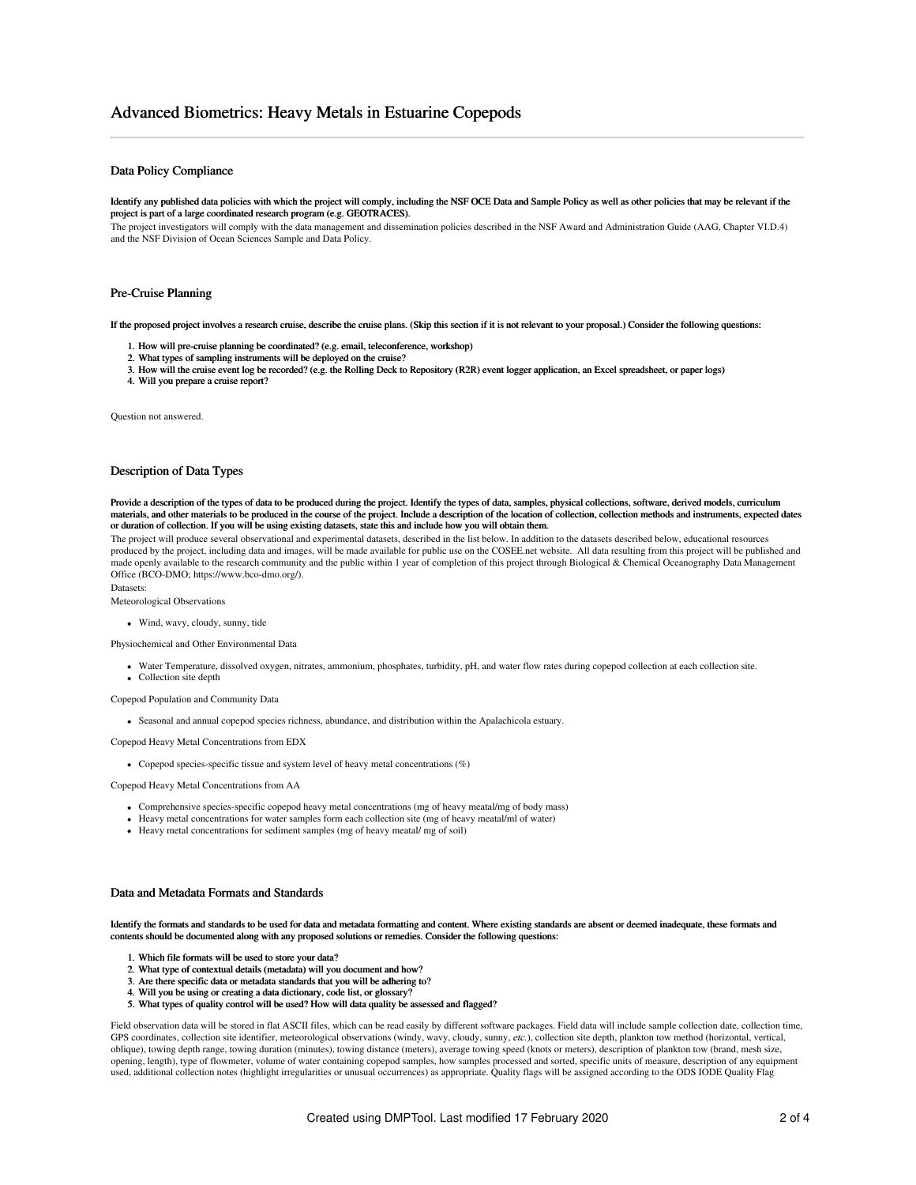# Advanced Biometrics: Heavy Metals in Estuarine Copepods

### Data Policy Compliance

#### Identify any published data policies with which the project will comply, including the NSF OCE Data and Sample Policy as well as other policies that may be relevant if the project is part of a large coordinated research program (e.g. GEOTRACES).

The project investigators will comply with the data management and dissemination policies described in the NSF Award and Administration Guide (AAG, Chapter VI.D.4) and the NSF Division of Ocean Sciences Sample and Data Policy.

#### Pre-Cruise Planning

If the proposed project involves a research cruise, describe the cruise plans. (Skip this section if it is not relevant to your proposal.) Consider the following questions:

- 1. How will pre-cruise planning be coordinated? (e.g. email, teleconference, workshop)
- 2. What types of sampling instruments will be deployed on the cruise?
- 3. How will the cruise event log be recorded? (e.g. the Rolling Deck to Repository (R2R) event logger application, an Excel spreadsheet, or paper logs)
- 4. Will you prepare a cruise report?

Question not answered.

### Description of Data Types

Provide a description of the types of data to be produced during the project. Identify the types of data, samples, physical collections, software, derived models, curriculum materials, and other materials to be produced in the course of the project. Include a description of the location of collection, collection methods and instruments, expected dates or duration of collection. If you will be using existing datasets, state this and include how you will obtain them.

The project will produce several observational and experimental datasets, described in the list below. In addition to the datasets described below, educational resources produced by the project, including data and images, will be made available for public use on the COSEE.net website. All data resulting from this project will be published and made openly available to the research community and the public within 1 year of completion of this project through Biological & Chemical Oceanography Data Management Office (BCO-DMO; https://www.bco-dmo.org/).

Datasets:

Meteorological Observations

#### Wind, wavy, cloudy, sunny, tide

Physiochemical and Other Environmental Data

- Water Temperature, dissolved oxygen, nitrates, ammonium, phosphates, turbidity, pH, and water flow rates during copepod collection at each collection site.
- Collection site depth

Copepod Population and Community Data

Seasonal and annual copepod species richness, abundance, and distribution within the Apalachicola estuary.

Copepod Heavy Metal Concentrations from EDX

Copepod species-specific tissue and system level of heavy metal concentrations (%)

Copepod Heavy Metal Concentrations from AA

- Comprehensive species-specific copepod heavy metal concentrations (mg of heavy meatal/mg of body mass)
- Heavy metal concentrations for water samples form each collection site (mg of heavy meatal/ml of water)
- Heavy metal concentrations for sediment samples (mg of heavy meatal/ mg of soil)

## Data and Metadata Formats and Standards

Identify the formats and standards to be used for data and metadata formatting and content. Where existing standards are absent or deemed inadequate, these formats and contents should be documented along with any proposed solutions or remedies. Consider the following questions:

- 1. Which file formats will be used to store your data?
- 2. What type of contextual details (metadata) will you document and how?
- 3. Are there specific data or metadata standards that you will be adhering to?
- 4. Will you be using or creating a data dictionary, code list, or glossary?
- 5. What types of quality control will be used? How will data quality be assessed and flagged?

Field observation data will be stored in flat ASCII files, which can be read easily by different software packages. Field data will include sample collection date, collection time, GPS coordinates, collection site identifier, meteorological observations (windy, wavy, cloudy, sunny, etc.), collection site depth, plankton tow method (horizontal, vertical, oblique), towing depth range, towing duration (minutes), towing distance (meters), average towing speed (knots or meters), description of plankton tow (brand, mesh size, opening, length), type of flowmeter, volume of water containing copepod samples, how samples processed and sorted, specific units of measure, description of any equipment used, additional collection notes (highlight irregularities or unusual occurrences) as appropriate. Quality flags will be assigned according to the ODS IODE Quality Flag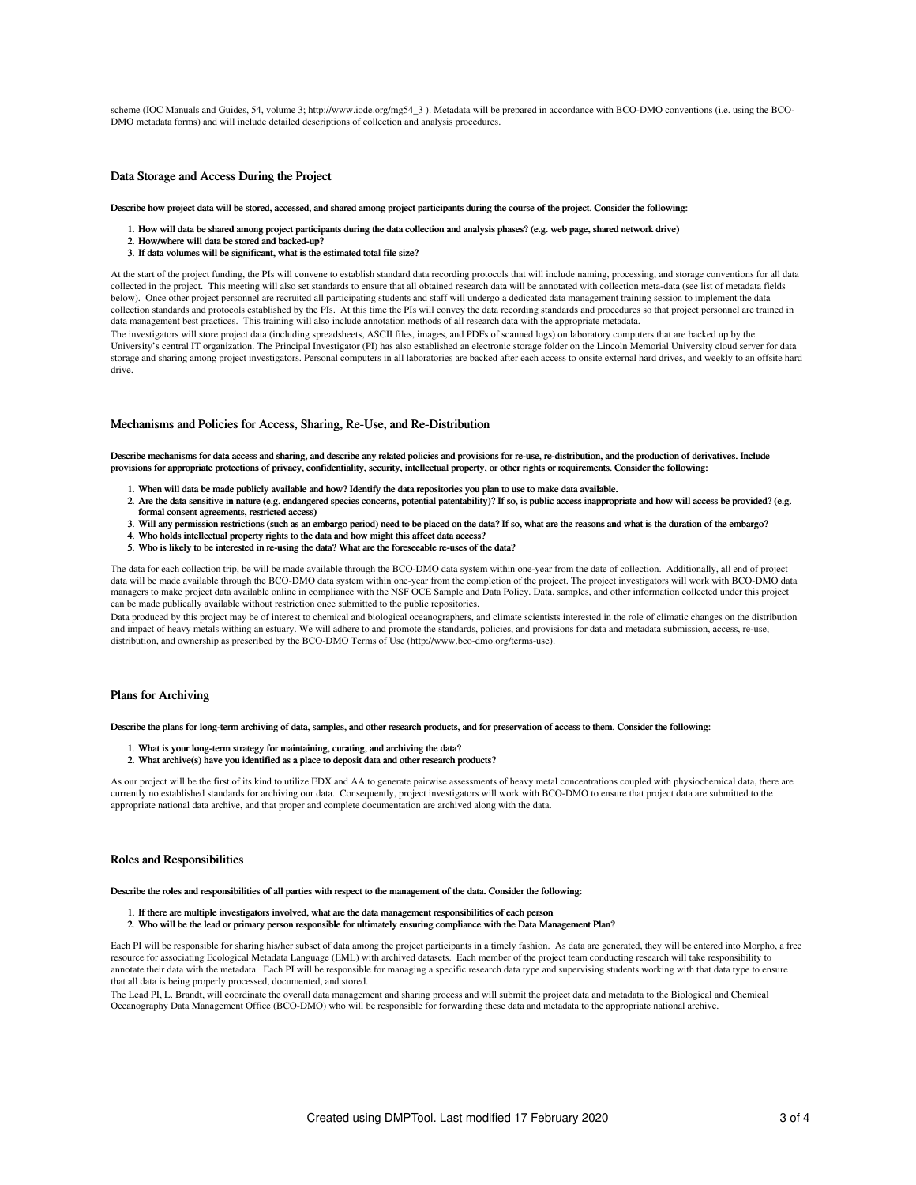scheme (IOC Manuals and Guides, 54, volume 3; http://www.iode.org/mg54\_3 ). Metadata will be prepared in accordance with BCO-DMO conventions (i.e. using the BCO-DMO metadata forms) and will include detailed descriptions of collection and analysis procedures.

#### Data Storage and Access During the Project

Describe how project data will be stored, accessed, and shared among project participants during the course of the project. Consider the following:

- 1. How will data be shared among project participants during the data collection and analysis phases? (e.g. web page, shared network drive)
- 2. How/where will data be stored and backed-up?
- 3. If data volumes will be significant, what is the estimated total file size?

At the start of the project funding, the PIs will convene to establish standard data recording protocols that will include naming, processing, and storage conventions for all data collected in the project. This meeting will also set standards to ensure that all obtained research data will be annotated with collection meta-data (see list of metadata fields<br>below). Once other project personnel are re collection standards and protocols established by the PIs. At this time the PIs will convey the data recording standards and procedures so that project personnel are trained in data management best practices. This training will also include annotation methods of all research data with the appropriate metadata. The investigators will store project data (including spreadsheets, ASCII files, images, and PDFs of scanned logs) on laboratory computers that are backed up by the

University's central IT organization. The Principal Investigator (PI) has also established an electronic storage folder on the Lincoln Memorial University cloud server for data storage and sharing among project investigators. Personal computers in all laboratories are backed after each access to onsite external hard drives, and weekly to an offsite hard drive.

#### Mechanisms and Policies for Access, Sharing, Re-Use, and Re-Distribution

Describe mechanisms for data access and sharing, and describe any related policies and provisions for re-use, re-distribution, and the production of derivatives. Include provisions for appropriate protections of privacy, confidentiality, security, intellectual property, or other rights or requirements. Consider the following:

- 1. When will data be made publicly available and how? Identify the data repositories you plan to use to make data available.
- 2. Are the data sensitive in nature (e.g. endangered species concerns, potential patentability)? If so, is public access inappropriate and how will access be provided? (e.g. formal consent agreements, restricted access)
- 3. Will any permission restrictions (such as an embargo period) need to be placed on the data? If so, what are the reasons and what is the duration of the embargo?
- 4. Who holds intellectual property rights to the data and how might this affect data access?
- 5. Who is likely to be interested in re-using the data? What are the foreseeable re-uses of the data?

The data for each collection trip, be will be made available through the BCO-DMO data system within one-year from the date of collection. Additionally, all end of project data will be made available through the BCO-DMO data system within one-year from the completion of the project. The project investigators will work with BCO-DMO data managers to make project data available online in compliance with the NSF OCE Sample and Data Policy. Data, samples, and other information collected under this project can be made publically available without restriction once submitted to the public repositories.

Data produced by this project may be of interest to chemical and biological oceanographers, and climate scientists interested in the role of climatic changes on the distribution and impact of heavy metals withing an estuary. We will adhere to and promote the standards, policies, and provisions for data and metadata submission, access, re-use, distribution, and ownership as prescribed by the BCO-DMO Terms of Use (http://www.bco-dmo.org/terms-use).

### Plans for Archiving

Describe the plans for long-term archiving of data, samples, and other research products, and for preservation of access to them. Consider the following:

- 1. What is your long-term strategy for maintaining, curating, and archiving the data?
- 2. What archive(s) have you identified as a place to deposit data and other research products?

As our project will be the first of its kind to utilize EDX and AA to generate pairwise assessments of heavy metal concentrations coupled with physiochemical data, there are currently no established standards for archiving our data. Consequently, project investigators will work with BCO-DMO to ensure that project data are submitted to the appropriate national data archive, and that proper and complete documentation are archived along with the data.

#### Roles and Responsibilities

Describe the roles and responsibilities of all parties with respect to the management of the data. Consider the following:

- 1. If there are multiple investigators involved, what are the data management responsibilities of each person
- 2. Who will be the lead or primary person responsible for ultimately ensuring compliance with the Data Management Plan?

Each PI will be responsible for sharing his/her subset of data among the project participants in a timely fashion. As data are generated, they will be entered into Morpho, a free resource for associating Ecological Metadata Language (EML) with archived datasets. Each member of the project team conducting research will take responsibility to annotate their data with the metadata. Each PI will be responsible for managing a specific research data type and supervising students working with that data type to ensure that all data is being properly processed, documented, and stored.

The Lead PI, L. Brandt, will coordinate the overall data management and sharing process and will submit the project data and metadata to the Biological and Chemical Oceanography Data Management Office (BCO-DMO) who will be responsible for forwarding these data and metadata to the appropriate national archive.